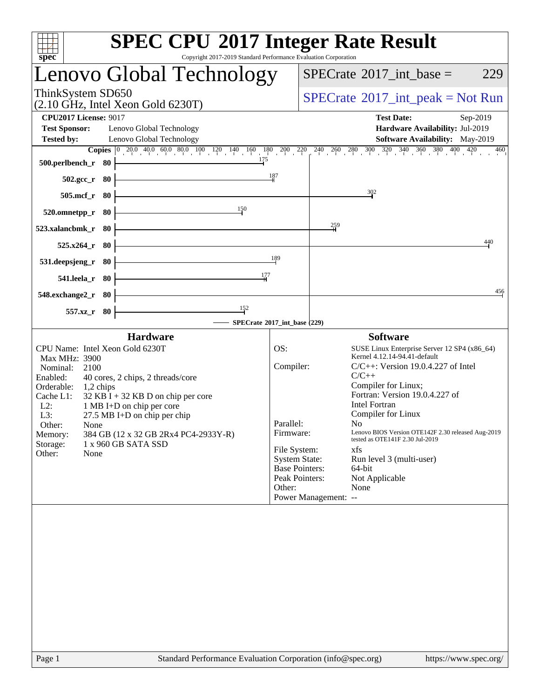| <b>SPEC CPU®2017 Integer Rate Result</b><br>Copyright 2017-2019 Standard Performance Evaluation Corporation<br>spec <sup>®</sup>                                                                               |                       |                                                                              |
|----------------------------------------------------------------------------------------------------------------------------------------------------------------------------------------------------------------|-----------------------|------------------------------------------------------------------------------|
| Lenovo Global Technology                                                                                                                                                                                       |                       | $SPECTate$ <sup>®</sup> 2017_int_base =<br>229                               |
| ThinkSystem SD650<br>$(2.10 \text{ GHz}, \text{Intel Xeon Gold } 6230 \text{T})$                                                                                                                               |                       | $SPECrate^{\circledast}2017\_int\_peak = Not Run$                            |
| <b>CPU2017 License: 9017</b>                                                                                                                                                                                   |                       | <b>Test Date:</b><br>Sep-2019                                                |
| <b>Test Sponsor:</b><br>Lenovo Global Technology                                                                                                                                                               |                       | Hardware Availability: Jul-2019                                              |
| <b>Tested by:</b><br>Lenovo Global Technology                                                                                                                                                                  |                       | <b>Software Availability:</b> May-2019                                       |
| <b>Copies</b> $\begin{bmatrix} 0 & 20 & 0 & 40 & 0 & 60 & 80 & 10 & 120 \end{bmatrix}$ $\begin{bmatrix} 140 & 160 & 180 & 200 & 220 & 240 & 260 & 280 & 300 & 320 & 340 & 360 & 380 & 400 & 420 \end{bmatrix}$ |                       | 460                                                                          |
| 175<br>500.perlbench_r 80                                                                                                                                                                                      | 187                   |                                                                              |
| 502.gcc_r 80                                                                                                                                                                                                   |                       |                                                                              |
| $505$ .mcf_r<br>- 80                                                                                                                                                                                           |                       | $\frac{302}{2}$                                                              |
| 150<br>520.omnetpp_r<br>80                                                                                                                                                                                     |                       | $\frac{259}{1}$                                                              |
| 523.xalancbmk_r<br>80                                                                                                                                                                                          |                       | 440                                                                          |
| 525.x264 r<br>80<br>531.deepsjeng_r<br>-80                                                                                                                                                                     | 189                   |                                                                              |
| 177<br>541.leela_r 80                                                                                                                                                                                          |                       |                                                                              |
| 548.exchange2_r<br>- 80                                                                                                                                                                                        |                       | 456                                                                          |
| 152<br>$557.xz$ _r<br>- 80                                                                                                                                                                                     |                       |                                                                              |
| SPECrate®2017_int_base (229)                                                                                                                                                                                   |                       |                                                                              |
|                                                                                                                                                                                                                |                       |                                                                              |
| <b>Hardware</b>                                                                                                                                                                                                |                       | <b>Software</b>                                                              |
| CPU Name: Intel Xeon Gold 6230T<br>Max MHz: 3900                                                                                                                                                               | OS:                   | SUSE Linux Enterprise Server 12 SP4 (x86_64)<br>Kernel 4.12.14-94.41-default |
| Nominal:<br>2100                                                                                                                                                                                               | Compiler:             | $C/C++$ : Version 19.0.4.227 of Intel                                        |
| Enabled:<br>40 cores, 2 chips, 2 threads/core                                                                                                                                                                  |                       | $C/C++$                                                                      |
| Orderable:<br>1,2 chips                                                                                                                                                                                        |                       | Compiler for Linux;                                                          |
| Cache L1:<br>$32$ KB I + 32 KB D on chip per core                                                                                                                                                              |                       | Fortran: Version 19.0.4.227 of<br><b>Intel Fortran</b>                       |
| 1 MB I+D on chip per core<br>$L2$ :<br>L3:<br>$27.5$ MB I+D on chip per chip                                                                                                                                   |                       | Compiler for Linux                                                           |
| Other:<br>None                                                                                                                                                                                                 | Parallel:             | No -                                                                         |
| 384 GB (12 x 32 GB 2Rx4 PC4-2933Y-R)<br>Memory:                                                                                                                                                                | Firmware:             | Lenovo BIOS Version OTE142F 2.30 released Aug-2019                           |
| Storage:<br>1 x 960 GB SATA SSD                                                                                                                                                                                | File System:          | tested as OTE141F 2.30 Jul-2019<br>xfs                                       |
| Other:<br>None                                                                                                                                                                                                 | <b>System State:</b>  | Run level 3 (multi-user)                                                     |
|                                                                                                                                                                                                                | <b>Base Pointers:</b> | 64-bit                                                                       |
|                                                                                                                                                                                                                | Peak Pointers:        | Not Applicable                                                               |
|                                                                                                                                                                                                                | Other:                | None                                                                         |
|                                                                                                                                                                                                                |                       | Power Management: --                                                         |
|                                                                                                                                                                                                                |                       |                                                                              |
|                                                                                                                                                                                                                |                       |                                                                              |
|                                                                                                                                                                                                                |                       |                                                                              |
|                                                                                                                                                                                                                |                       |                                                                              |
|                                                                                                                                                                                                                |                       |                                                                              |
|                                                                                                                                                                                                                |                       |                                                                              |
|                                                                                                                                                                                                                |                       |                                                                              |
|                                                                                                                                                                                                                |                       |                                                                              |
|                                                                                                                                                                                                                |                       |                                                                              |
|                                                                                                                                                                                                                |                       |                                                                              |
|                                                                                                                                                                                                                |                       |                                                                              |
|                                                                                                                                                                                                                |                       |                                                                              |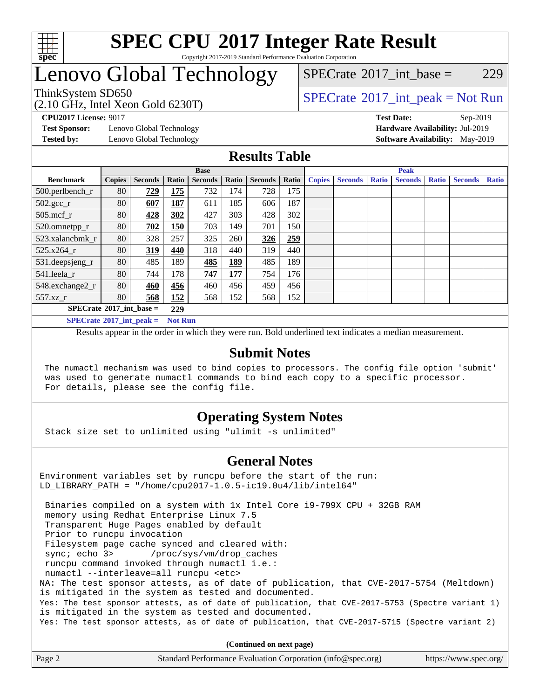

### **[SPEC CPU](http://www.spec.org/auto/cpu2017/Docs/result-fields.html#SPECCPU2017IntegerRateResult)[2017 Integer Rate Result](http://www.spec.org/auto/cpu2017/Docs/result-fields.html#SPECCPU2017IntegerRateResult)** Copyright 2017-2019 Standard Performance Evaluation Corporation

## Lenovo Global Technology

[SPECrate](http://www.spec.org/auto/cpu2017/Docs/result-fields.html#SPECrate2017intbase)<sup>®</sup>2017 int base = 229

(2.10 GHz, Intel Xeon Gold 6230T)

ThinkSystem SD650  $SPECrate^{\circ}2017$  $SPECrate^{\circ}2017$ \_int\_peak = Not Run

**[Test Sponsor:](http://www.spec.org/auto/cpu2017/Docs/result-fields.html#TestSponsor)** Lenovo Global Technology **[Hardware Availability:](http://www.spec.org/auto/cpu2017/Docs/result-fields.html#HardwareAvailability)** Jul-2019

**[CPU2017 License:](http://www.spec.org/auto/cpu2017/Docs/result-fields.html#CPU2017License)** 9017 **[Test Date:](http://www.spec.org/auto/cpu2017/Docs/result-fields.html#TestDate)** Sep-2019 **[Tested by:](http://www.spec.org/auto/cpu2017/Docs/result-fields.html#Testedby)** Lenovo Global Technology **[Software Availability:](http://www.spec.org/auto/cpu2017/Docs/result-fields.html#SoftwareAvailability)** May-2019

### **[Results Table](http://www.spec.org/auto/cpu2017/Docs/result-fields.html#ResultsTable)**

|                                          | <b>Base</b>   |                |                |                |            | <b>Peak</b>    |       |               |                |              |                |              |                |              |
|------------------------------------------|---------------|----------------|----------------|----------------|------------|----------------|-------|---------------|----------------|--------------|----------------|--------------|----------------|--------------|
| <b>Benchmark</b>                         | <b>Copies</b> | <b>Seconds</b> | Ratio          | <b>Seconds</b> | Ratio      | <b>Seconds</b> | Ratio | <b>Copies</b> | <b>Seconds</b> | <b>Ratio</b> | <b>Seconds</b> | <b>Ratio</b> | <b>Seconds</b> | <b>Ratio</b> |
| 500.perlbench_r                          | 80            | 729            | 175            | 732            | 174        | 728            | 175   |               |                |              |                |              |                |              |
| $502.\text{gcc\_r}$                      | 80            | 607            | 187            | 611            | 185        | 606            | 187   |               |                |              |                |              |                |              |
| $505$ .mcf r                             | 80            | 428            | 302            | 427            | 303        | 428            | 302   |               |                |              |                |              |                |              |
| 520.omnetpp_r                            | 80            | 702            | 150            | 703            | 149        | 701            | 150   |               |                |              |                |              |                |              |
| 523.xalancbmk r                          | 80            | 328            | 257            | 325            | 260        | 326            | 259   |               |                |              |                |              |                |              |
| 525.x264 r                               | 80            | 319            | 440            | 318            | 440        | 319            | 440   |               |                |              |                |              |                |              |
| 531.deepsjeng_r                          | 80            | 485            | 189            | 485            | <u>189</u> | 485            | 189   |               |                |              |                |              |                |              |
| 541.leela r                              | 80            | 744            | 178            | 747            | 177        | 754            | 176   |               |                |              |                |              |                |              |
| 548.exchange2_r                          | 80            | 460            | 456            | 460            | 456        | 459            | 456   |               |                |              |                |              |                |              |
| 557.xz r                                 | 80            | 568            | 152            | 568            | 152        | 568            | 152   |               |                |              |                |              |                |              |
| $SPECrate^{\circ}2017$ int base =<br>229 |               |                |                |                |            |                |       |               |                |              |                |              |                |              |
| $SPECrate^{\circ}2017$ int peak =        |               |                | <b>Not Run</b> |                |            |                |       |               |                |              |                |              |                |              |

Results appear in the [order in which they were run](http://www.spec.org/auto/cpu2017/Docs/result-fields.html#RunOrder). Bold underlined text [indicates a median measurement](http://www.spec.org/auto/cpu2017/Docs/result-fields.html#Median).

### **[Submit Notes](http://www.spec.org/auto/cpu2017/Docs/result-fields.html#SubmitNotes)**

 The numactl mechanism was used to bind copies to processors. The config file option 'submit' was used to generate numactl commands to bind each copy to a specific processor. For details, please see the config file.

### **[Operating System Notes](http://www.spec.org/auto/cpu2017/Docs/result-fields.html#OperatingSystemNotes)**

Stack size set to unlimited using "ulimit -s unlimited"

### **[General Notes](http://www.spec.org/auto/cpu2017/Docs/result-fields.html#GeneralNotes)**

Environment variables set by runcpu before the start of the run: LD\_LIBRARY\_PATH = "/home/cpu2017-1.0.5-ic19.0u4/lib/intel64"

 Binaries compiled on a system with 1x Intel Core i9-799X CPU + 32GB RAM memory using Redhat Enterprise Linux 7.5 Transparent Huge Pages enabled by default Prior to runcpu invocation Filesystem page cache synced and cleared with: sync; echo 3> /proc/sys/vm/drop\_caches runcpu command invoked through numactl i.e.: numactl --interleave=all runcpu <etc> NA: The test sponsor attests, as of date of publication, that CVE-2017-5754 (Meltdown) is mitigated in the system as tested and documented. Yes: The test sponsor attests, as of date of publication, that CVE-2017-5753 (Spectre variant 1) is mitigated in the system as tested and documented. Yes: The test sponsor attests, as of date of publication, that CVE-2017-5715 (Spectre variant 2)

**(Continued on next page)**

| Page 2<br>Standard Performance Evaluation Corporation (info@spec.org)<br>https://www.spec.org/ |
|------------------------------------------------------------------------------------------------|
|------------------------------------------------------------------------------------------------|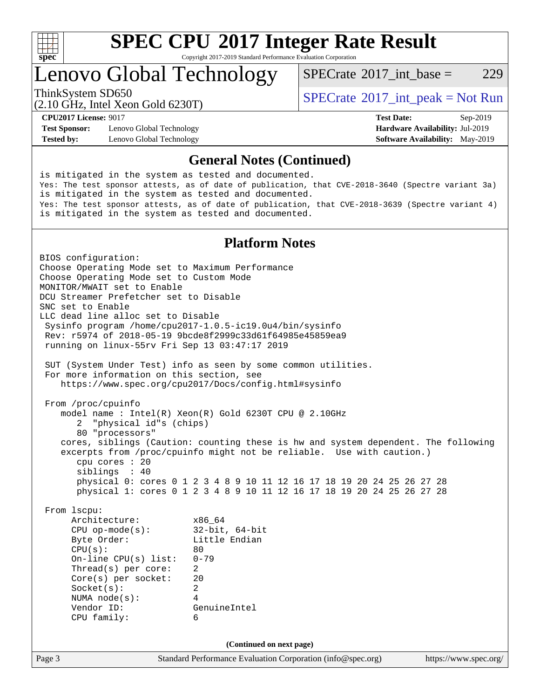

Copyright 2017-2019 Standard Performance Evaluation Corporation

Lenovo Global Technology

[SPECrate](http://www.spec.org/auto/cpu2017/Docs/result-fields.html#SPECrate2017intbase)<sup>®</sup>2017 int base = 229

(2.10 GHz, Intel Xeon Gold 6230T)

ThinkSystem SD650  $SPECrate@2017$  $SPECrate@2017$ \_int\_peak = Not Run

**[Test Sponsor:](http://www.spec.org/auto/cpu2017/Docs/result-fields.html#TestSponsor)** Lenovo Global Technology **[Hardware Availability:](http://www.spec.org/auto/cpu2017/Docs/result-fields.html#HardwareAvailability)** Jul-2019 **[Tested by:](http://www.spec.org/auto/cpu2017/Docs/result-fields.html#Testedby)** Lenovo Global Technology **[Software Availability:](http://www.spec.org/auto/cpu2017/Docs/result-fields.html#SoftwareAvailability)** May-2019

**[CPU2017 License:](http://www.spec.org/auto/cpu2017/Docs/result-fields.html#CPU2017License)** 9017 **[Test Date:](http://www.spec.org/auto/cpu2017/Docs/result-fields.html#TestDate)** Sep-2019

### **[General Notes \(Continued\)](http://www.spec.org/auto/cpu2017/Docs/result-fields.html#GeneralNotes)**

is mitigated in the system as tested and documented. Yes: The test sponsor attests, as of date of publication, that CVE-2018-3640 (Spectre variant 3a) is mitigated in the system as tested and documented. Yes: The test sponsor attests, as of date of publication, that CVE-2018-3639 (Spectre variant 4) is mitigated in the system as tested and documented. **[Platform Notes](http://www.spec.org/auto/cpu2017/Docs/result-fields.html#PlatformNotes)** BIOS configuration: Choose Operating Mode set to Maximum Performance Choose Operating Mode set to Custom Mode MONITOR/MWAIT set to Enable DCU Streamer Prefetcher set to Disable SNC set to Enable LLC dead line alloc set to Disable Sysinfo program /home/cpu2017-1.0.5-ic19.0u4/bin/sysinfo Rev: r5974 of 2018-05-19 9bcde8f2999c33d61f64985e45859ea9 running on linux-55rv Fri Sep 13 03:47:17 2019 SUT (System Under Test) info as seen by some common utilities. For more information on this section, see <https://www.spec.org/cpu2017/Docs/config.html#sysinfo> From /proc/cpuinfo model name : Intel(R) Xeon(R) Gold 6230T CPU @ 2.10GHz 2 "physical id"s (chips) 80 "processors" cores, siblings (Caution: counting these is hw and system dependent. The following excerpts from /proc/cpuinfo might not be reliable. Use with caution.) cpu cores : 20 siblings : 40 physical 0: cores 0 1 2 3 4 8 9 10 11 12 16 17 18 19 20 24 25 26 27 28 physical 1: cores 0 1 2 3 4 8 9 10 11 12 16 17 18 19 20 24 25 26 27 28 From lscpu: Architecture: x86\_64 CPU op-mode(s): 32-bit, 64-bit Byte Order: Little Endian  $CPU(s):$  80 On-line CPU(s) list: 0-79 Thread(s) per core: 2 Core(s) per socket: 20 Socket(s): 2 NUMA node(s): 4 Vendor ID: GenuineIntel CPU family: 6 **(Continued on next page)**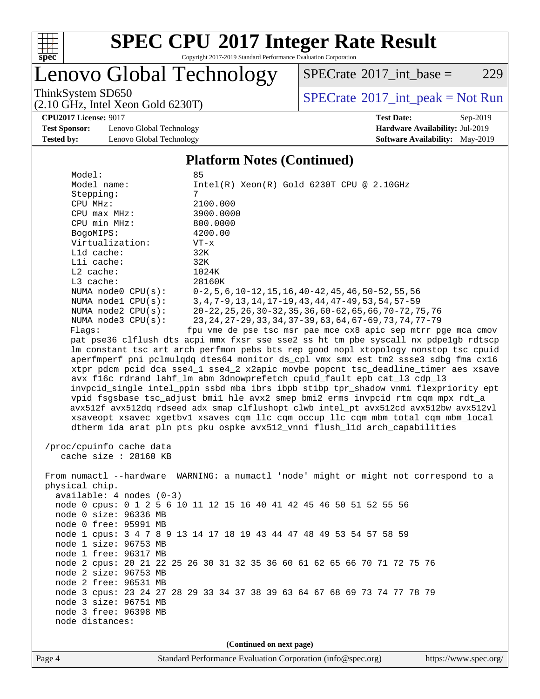

Copyright 2017-2019 Standard Performance Evaluation Corporation

## Lenovo Global Technology

 $SPECTate@2017_int\_base = 229$ 

(2.10 GHz, Intel Xeon Gold 6230T)

ThinkSystem SD650<br>  $(2.10 \text{ GHz, Intel Yoon Gold } 6230 \text{T})$  [SPECrate](http://www.spec.org/auto/cpu2017/Docs/result-fields.html#SPECrate2017intpeak)®[2017\\_int\\_peak = N](http://www.spec.org/auto/cpu2017/Docs/result-fields.html#SPECrate2017intpeak)ot Run

**[Test Sponsor:](http://www.spec.org/auto/cpu2017/Docs/result-fields.html#TestSponsor)** Lenovo Global Technology **[Hardware Availability:](http://www.spec.org/auto/cpu2017/Docs/result-fields.html#HardwareAvailability)** Jul-2019 **[Tested by:](http://www.spec.org/auto/cpu2017/Docs/result-fields.html#Testedby)** Lenovo Global Technology **[Software Availability:](http://www.spec.org/auto/cpu2017/Docs/result-fields.html#SoftwareAvailability)** May-2019

**[CPU2017 License:](http://www.spec.org/auto/cpu2017/Docs/result-fields.html#CPU2017License)** 9017 **[Test Date:](http://www.spec.org/auto/cpu2017/Docs/result-fields.html#TestDate)** Sep-2019

#### **[Platform Notes \(Continued\)](http://www.spec.org/auto/cpu2017/Docs/result-fields.html#PlatformNotes)**

| Model:                     | 85                                                                                   |  |  |  |  |  |  |  |
|----------------------------|--------------------------------------------------------------------------------------|--|--|--|--|--|--|--|
| Model name:                | $Intel(R) Xeon(R) Gold 6230T CPU @ 2.10GHz$                                          |  |  |  |  |  |  |  |
| Stepping:<br>7             |                                                                                      |  |  |  |  |  |  |  |
| CPU MHz:                   | 2100.000                                                                             |  |  |  |  |  |  |  |
| $CPU$ max $MHz$ :          | 3900.0000                                                                            |  |  |  |  |  |  |  |
| CPU min MHz:               | 800.0000                                                                             |  |  |  |  |  |  |  |
| BogoMIPS:                  | 4200.00                                                                              |  |  |  |  |  |  |  |
| Virtualization:            | $VT - x$                                                                             |  |  |  |  |  |  |  |
| Lld cache:                 | 32K                                                                                  |  |  |  |  |  |  |  |
| Lli cache:                 | 32K                                                                                  |  |  |  |  |  |  |  |
| $L2$ cache:                | 1024K                                                                                |  |  |  |  |  |  |  |
| L3 cache:                  | 28160K                                                                               |  |  |  |  |  |  |  |
| NUMA node0 CPU(s):         | $0-2, 5, 6, 10-12, 15, 16, 40-42, 45, 46, 50-52, 55, 56$                             |  |  |  |  |  |  |  |
| NUMA nodel $CPU(s):$       | 3, 4, 7-9, 13, 14, 17-19, 43, 44, 47-49, 53, 54, 57-59                               |  |  |  |  |  |  |  |
| NUMA node2 CPU(s):         | 20-22, 25, 26, 30-32, 35, 36, 60-62, 65, 66, 70-72, 75, 76                           |  |  |  |  |  |  |  |
| NUMA $node3$ $CPU(s):$     | 23, 24, 27-29, 33, 34, 37-39, 63, 64, 67-69, 73, 74, 77-79                           |  |  |  |  |  |  |  |
| Flags:                     | fpu vme de pse tsc msr pae mce cx8 apic sep mtrr pge mca cmov                        |  |  |  |  |  |  |  |
|                            | pat pse36 clflush dts acpi mmx fxsr sse sse2 ss ht tm pbe syscall nx pdpelgb rdtscp  |  |  |  |  |  |  |  |
|                            | lm constant_tsc art arch_perfmon pebs bts rep_good nopl xtopology nonstop_tsc cpuid  |  |  |  |  |  |  |  |
|                            | aperfmperf pni pclmulqdq dtes64 monitor ds_cpl vmx smx est tm2 ssse3 sdbg fma cx16   |  |  |  |  |  |  |  |
|                            | xtpr pdcm pcid dca sse4_1 sse4_2 x2apic movbe popcnt tsc_deadline_timer aes xsave    |  |  |  |  |  |  |  |
|                            | avx f16c rdrand lahf_lm abm 3dnowprefetch cpuid_fault epb cat_13 cdp_13              |  |  |  |  |  |  |  |
|                            | invpcid_single intel_ppin ssbd mba ibrs ibpb stibp tpr_shadow vnmi flexpriority ept  |  |  |  |  |  |  |  |
|                            | vpid fsgsbase tsc_adjust bmil hle avx2 smep bmi2 erms invpcid rtm cqm mpx rdt_a      |  |  |  |  |  |  |  |
|                            | avx512f avx512dq rdseed adx smap clflushopt clwb intel_pt avx512cd avx512bw avx512vl |  |  |  |  |  |  |  |
|                            | xsaveopt xsavec xgetbvl xsaves cqm_llc cqm_occup_llc cqm_mbm_total cqm_mbm_local     |  |  |  |  |  |  |  |
|                            | dtherm ida arat pln pts pku ospke avx512_vnni flush_lld arch_capabilities            |  |  |  |  |  |  |  |
|                            |                                                                                      |  |  |  |  |  |  |  |
| /proc/cpuinfo cache data   |                                                                                      |  |  |  |  |  |  |  |
| cache size : 28160 KB      |                                                                                      |  |  |  |  |  |  |  |
|                            |                                                                                      |  |  |  |  |  |  |  |
|                            | From numactl --hardware WARNING: a numactl 'node' might or might not correspond to a |  |  |  |  |  |  |  |
| physical chip.             |                                                                                      |  |  |  |  |  |  |  |
| $available: 4 nodes (0-3)$ |                                                                                      |  |  |  |  |  |  |  |
|                            | node 0 cpus: 0 1 2 5 6 10 11 12 15 16 40 41 42 45 46 50 51 52 55 56                  |  |  |  |  |  |  |  |
| node 0 size: 96336 MB      |                                                                                      |  |  |  |  |  |  |  |
| node 0 free: 95991 MB      |                                                                                      |  |  |  |  |  |  |  |
|                            | node 1 cpus: 3 4 7 8 9 13 14 17 18 19 43 44 47 48 49 53 54 57 58 59                  |  |  |  |  |  |  |  |
| node 1 size: 96753 MB      |                                                                                      |  |  |  |  |  |  |  |
| node 1 free: 96317 MB      |                                                                                      |  |  |  |  |  |  |  |
|                            | node 2 cpus: 20 21 22 25 26 30 31 32 35 36 60 61 62 65 66 70 71 72 75 76             |  |  |  |  |  |  |  |
| node 2 size: 96753 MB      |                                                                                      |  |  |  |  |  |  |  |
| node 2 free: 96531 MB      |                                                                                      |  |  |  |  |  |  |  |
|                            | node 3 cpus: 23 24 27 28 29 33 34 37 38 39 63 64 67 68 69 73 74 77 78 79             |  |  |  |  |  |  |  |
| node 3 size: 96751 MB      |                                                                                      |  |  |  |  |  |  |  |
| node 3 free: 96398 MB      |                                                                                      |  |  |  |  |  |  |  |
| node distances:            |                                                                                      |  |  |  |  |  |  |  |
|                            |                                                                                      |  |  |  |  |  |  |  |
|                            | (Continued on next page)                                                             |  |  |  |  |  |  |  |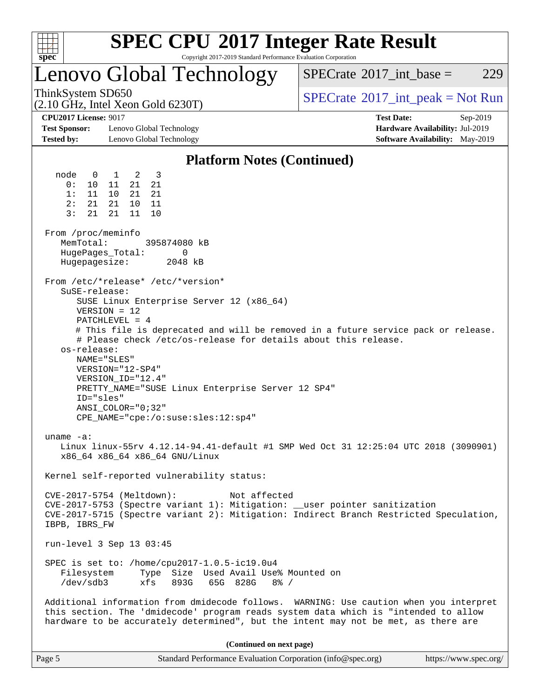

Copyright 2017-2019 Standard Performance Evaluation Corporation

## Lenovo Global Technology

 $SPECTate@2017\_int\_base = 229$ 

(2.10 GHz, Intel Xeon Gold 6230T)

ThinkSystem SD650  $SPECrate^{\circ}2017$  $SPECrate^{\circ}2017$ \_int\_peak = Not Run

**[Test Sponsor:](http://www.spec.org/auto/cpu2017/Docs/result-fields.html#TestSponsor)** Lenovo Global Technology **[Hardware Availability:](http://www.spec.org/auto/cpu2017/Docs/result-fields.html#HardwareAvailability)** Jul-2019 **[Tested by:](http://www.spec.org/auto/cpu2017/Docs/result-fields.html#Testedby)** Lenovo Global Technology **[Software Availability:](http://www.spec.org/auto/cpu2017/Docs/result-fields.html#SoftwareAvailability)** May-2019

**[CPU2017 License:](http://www.spec.org/auto/cpu2017/Docs/result-fields.html#CPU2017License)** 9017 **[Test Date:](http://www.spec.org/auto/cpu2017/Docs/result-fields.html#TestDate)** Sep-2019

### **[Platform Notes \(Continued\)](http://www.spec.org/auto/cpu2017/Docs/result-fields.html#PlatformNotes)**

 node 0 1 2 3 0: 10 11 21 21 1: 11 10 21 21 2: 21 21 10 11 3: 21 21 11 10 From /proc/meminfo MemTotal: 395874080 kB HugePages\_Total: 0 Hugepagesize: 2048 kB From /etc/\*release\* /etc/\*version\* SuSE-release: SUSE Linux Enterprise Server 12 (x86\_64) VERSION = 12 PATCHLEVEL = 4 # This file is deprecated and will be removed in a future service pack or release. # Please check /etc/os-release for details about this release. os-release: NAME="SLES" VERSION="12-SP4" VERSION\_ID="12.4" PRETTY\_NAME="SUSE Linux Enterprise Server 12 SP4" ID="sles" ANSI\_COLOR="0;32" CPE\_NAME="cpe:/o:suse:sles:12:sp4" uname -a: Linux linux-55rv 4.12.14-94.41-default #1 SMP Wed Oct 31 12:25:04 UTC 2018 (3090901) x86\_64 x86\_64 x86\_64 GNU/Linux Kernel self-reported vulnerability status: CVE-2017-5754 (Meltdown): Not affected CVE-2017-5753 (Spectre variant 1): Mitigation: \_\_user pointer sanitization CVE-2017-5715 (Spectre variant 2): Mitigation: Indirect Branch Restricted Speculation, IBPB, IBRS\_FW run-level 3 Sep 13 03:45 SPEC is set to: /home/cpu2017-1.0.5-ic19.0u4 Filesystem Type Size Used Avail Use% Mounted on /dev/sdb3 xfs 893G 65G 828G 8% / Additional information from dmidecode follows. WARNING: Use caution when you interpret this section. The 'dmidecode' program reads system data which is "intended to allow hardware to be accurately determined", but the intent may not be met, as there are **(Continued on next page)**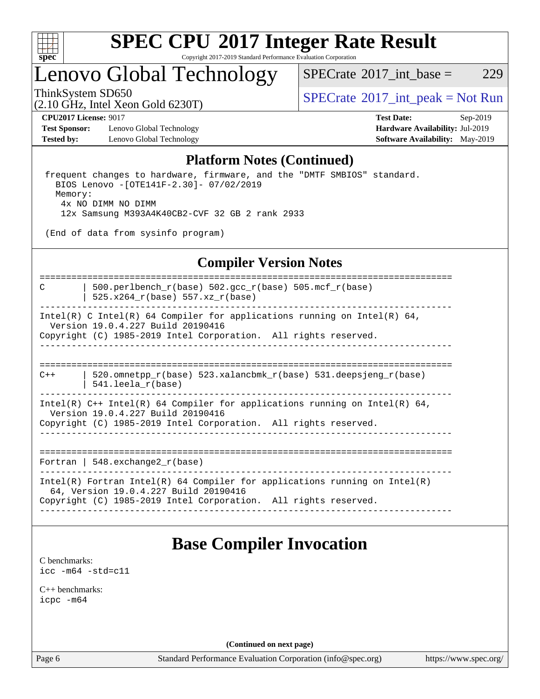

Copyright 2017-2019 Standard Performance Evaluation Corporation

## Lenovo Global Technology

 $SPECTate@2017\_int\_base = 229$ 

(2.10 GHz, Intel Xeon Gold 6230T)

ThinkSystem SD650  $SPECrate^{\circ}2017$  $SPECrate^{\circ}2017$ \_int\_peak = Not Run

**[Test Sponsor:](http://www.spec.org/auto/cpu2017/Docs/result-fields.html#TestSponsor)** Lenovo Global Technology **[Hardware Availability:](http://www.spec.org/auto/cpu2017/Docs/result-fields.html#HardwareAvailability)** Jul-2019 **[Tested by:](http://www.spec.org/auto/cpu2017/Docs/result-fields.html#Testedby)** Lenovo Global Technology **[Software Availability:](http://www.spec.org/auto/cpu2017/Docs/result-fields.html#SoftwareAvailability)** May-2019

**[CPU2017 License:](http://www.spec.org/auto/cpu2017/Docs/result-fields.html#CPU2017License)** 9017 **[Test Date:](http://www.spec.org/auto/cpu2017/Docs/result-fields.html#TestDate)** Sep-2019

### **[Platform Notes \(Continued\)](http://www.spec.org/auto/cpu2017/Docs/result-fields.html#PlatformNotes)**

 frequent changes to hardware, firmware, and the "DMTF SMBIOS" standard. BIOS Lenovo -[OTE141F-2.30]- 07/02/2019 Memory: 4x NO DIMM NO DIMM 12x Samsung M393A4K40CB2-CVF 32 GB 2 rank 2933

(End of data from sysinfo program)

### **[Compiler Version Notes](http://www.spec.org/auto/cpu2017/Docs/result-fields.html#CompilerVersionNotes)**

============================================================================== C | 500.perlbench\_r(base) 502.gcc\_r(base) 505.mcf\_r(base) | 525.x264 $r(base)$  557.xz $r(base)$ ------------------------------------------------------------------------------ Intel(R) C Intel(R) 64 Compiler for applications running on Intel(R) 64, Version 19.0.4.227 Build 20190416 Copyright (C) 1985-2019 Intel Corporation. All rights reserved. ------------------------------------------------------------------------------ ============================================================================== C++ | 520.omnetpp\_r(base) 523.xalancbmk\_r(base) 531.deepsjeng\_r(base) | 541.leela\_r(base)

------------------------------------------------------------------------------ Intel(R) C++ Intel(R) 64 Compiler for applications running on Intel(R) 64, Version 19.0.4.227 Build 20190416 Copyright (C) 1985-2019 Intel Corporation. All rights reserved. ------------------------------------------------------------------------------

==============================================================================

Fortran | 548.exchange2\_r(base)

------------------------------------------------------------------------------ Intel(R) Fortran Intel(R) 64 Compiler for applications running on Intel(R) 64, Version 19.0.4.227 Build 20190416 Copyright (C) 1985-2019 Intel Corporation. All rights reserved. ------------------------------------------------------------------------------

### **[Base Compiler Invocation](http://www.spec.org/auto/cpu2017/Docs/result-fields.html#BaseCompilerInvocation)**

[C benchmarks](http://www.spec.org/auto/cpu2017/Docs/result-fields.html#Cbenchmarks): [icc -m64 -std=c11](http://www.spec.org/cpu2017/results/res2019q4/cpu2017-20190916-18074.flags.html#user_CCbase_intel_icc_64bit_c11_33ee0cdaae7deeeab2a9725423ba97205ce30f63b9926c2519791662299b76a0318f32ddfffdc46587804de3178b4f9328c46fa7c2b0cd779d7a61945c91cd35)

[C++ benchmarks:](http://www.spec.org/auto/cpu2017/Docs/result-fields.html#CXXbenchmarks) [icpc -m64](http://www.spec.org/cpu2017/results/res2019q4/cpu2017-20190916-18074.flags.html#user_CXXbase_intel_icpc_64bit_4ecb2543ae3f1412ef961e0650ca070fec7b7afdcd6ed48761b84423119d1bf6bdf5cad15b44d48e7256388bc77273b966e5eb805aefd121eb22e9299b2ec9d9)

**(Continued on next page)**

Page 6 Standard Performance Evaluation Corporation [\(info@spec.org\)](mailto:info@spec.org) <https://www.spec.org/>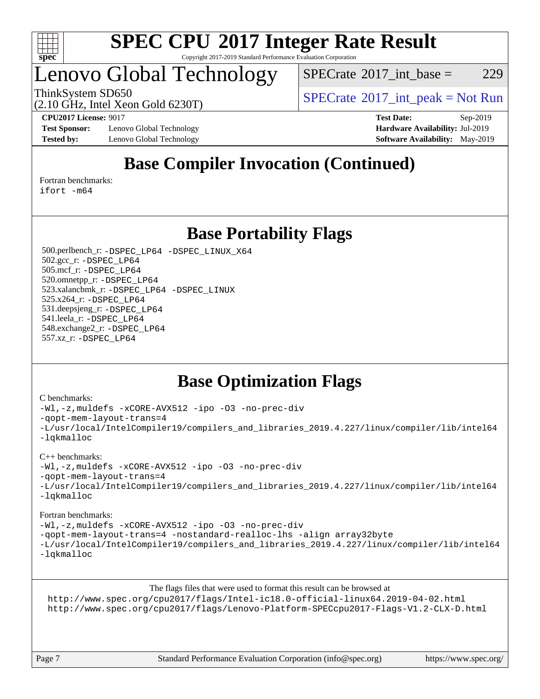

Copyright 2017-2019 Standard Performance Evaluation Corporation

## Lenovo Global Technology

 $SPECTate@2017\_int\_base = 229$ 

ThinkSystem SD650  $SPECrate^{\circ}2017$  $SPECrate^{\circ}2017$ \_int\_peak = Not Run

(2.10 GHz, Intel Xeon Gold 6230T)

**[Test Sponsor:](http://www.spec.org/auto/cpu2017/Docs/result-fields.html#TestSponsor)** Lenovo Global Technology **[Hardware Availability:](http://www.spec.org/auto/cpu2017/Docs/result-fields.html#HardwareAvailability)** Jul-2019 **[Tested by:](http://www.spec.org/auto/cpu2017/Docs/result-fields.html#Testedby)** Lenovo Global Technology **[Software Availability:](http://www.spec.org/auto/cpu2017/Docs/result-fields.html#SoftwareAvailability)** May-2019

**[CPU2017 License:](http://www.spec.org/auto/cpu2017/Docs/result-fields.html#CPU2017License)** 9017 **[Test Date:](http://www.spec.org/auto/cpu2017/Docs/result-fields.html#TestDate)** Sep-2019

## **[Base Compiler Invocation \(Continued\)](http://www.spec.org/auto/cpu2017/Docs/result-fields.html#BaseCompilerInvocation)**

[Fortran benchmarks](http://www.spec.org/auto/cpu2017/Docs/result-fields.html#Fortranbenchmarks):

[ifort -m64](http://www.spec.org/cpu2017/results/res2019q4/cpu2017-20190916-18074.flags.html#user_FCbase_intel_ifort_64bit_24f2bb282fbaeffd6157abe4f878425411749daecae9a33200eee2bee2fe76f3b89351d69a8130dd5949958ce389cf37ff59a95e7a40d588e8d3a57e0c3fd751)

### **[Base Portability Flags](http://www.spec.org/auto/cpu2017/Docs/result-fields.html#BasePortabilityFlags)**

 500.perlbench\_r: [-DSPEC\\_LP64](http://www.spec.org/cpu2017/results/res2019q4/cpu2017-20190916-18074.flags.html#b500.perlbench_r_basePORTABILITY_DSPEC_LP64) [-DSPEC\\_LINUX\\_X64](http://www.spec.org/cpu2017/results/res2019q4/cpu2017-20190916-18074.flags.html#b500.perlbench_r_baseCPORTABILITY_DSPEC_LINUX_X64) 502.gcc\_r: [-DSPEC\\_LP64](http://www.spec.org/cpu2017/results/res2019q4/cpu2017-20190916-18074.flags.html#suite_basePORTABILITY502_gcc_r_DSPEC_LP64) 505.mcf\_r: [-DSPEC\\_LP64](http://www.spec.org/cpu2017/results/res2019q4/cpu2017-20190916-18074.flags.html#suite_basePORTABILITY505_mcf_r_DSPEC_LP64) 520.omnetpp\_r: [-DSPEC\\_LP64](http://www.spec.org/cpu2017/results/res2019q4/cpu2017-20190916-18074.flags.html#suite_basePORTABILITY520_omnetpp_r_DSPEC_LP64) 523.xalancbmk\_r: [-DSPEC\\_LP64](http://www.spec.org/cpu2017/results/res2019q4/cpu2017-20190916-18074.flags.html#suite_basePORTABILITY523_xalancbmk_r_DSPEC_LP64) [-DSPEC\\_LINUX](http://www.spec.org/cpu2017/results/res2019q4/cpu2017-20190916-18074.flags.html#b523.xalancbmk_r_baseCXXPORTABILITY_DSPEC_LINUX) 525.x264\_r: [-DSPEC\\_LP64](http://www.spec.org/cpu2017/results/res2019q4/cpu2017-20190916-18074.flags.html#suite_basePORTABILITY525_x264_r_DSPEC_LP64) 531.deepsjeng\_r: [-DSPEC\\_LP64](http://www.spec.org/cpu2017/results/res2019q4/cpu2017-20190916-18074.flags.html#suite_basePORTABILITY531_deepsjeng_r_DSPEC_LP64) 541.leela\_r: [-DSPEC\\_LP64](http://www.spec.org/cpu2017/results/res2019q4/cpu2017-20190916-18074.flags.html#suite_basePORTABILITY541_leela_r_DSPEC_LP64) 548.exchange2\_r: [-DSPEC\\_LP64](http://www.spec.org/cpu2017/results/res2019q4/cpu2017-20190916-18074.flags.html#suite_basePORTABILITY548_exchange2_r_DSPEC_LP64) 557.xz\_r: [-DSPEC\\_LP64](http://www.spec.org/cpu2017/results/res2019q4/cpu2017-20190916-18074.flags.html#suite_basePORTABILITY557_xz_r_DSPEC_LP64)

## **[Base Optimization Flags](http://www.spec.org/auto/cpu2017/Docs/result-fields.html#BaseOptimizationFlags)**

#### [C benchmarks](http://www.spec.org/auto/cpu2017/Docs/result-fields.html#Cbenchmarks):

[-Wl,-z,muldefs](http://www.spec.org/cpu2017/results/res2019q4/cpu2017-20190916-18074.flags.html#user_CCbase_link_force_multiple1_b4cbdb97b34bdee9ceefcfe54f4c8ea74255f0b02a4b23e853cdb0e18eb4525ac79b5a88067c842dd0ee6996c24547a27a4b99331201badda8798ef8a743f577) [-xCORE-AVX512](http://www.spec.org/cpu2017/results/res2019q4/cpu2017-20190916-18074.flags.html#user_CCbase_f-xCORE-AVX512) [-ipo](http://www.spec.org/cpu2017/results/res2019q4/cpu2017-20190916-18074.flags.html#user_CCbase_f-ipo) [-O3](http://www.spec.org/cpu2017/results/res2019q4/cpu2017-20190916-18074.flags.html#user_CCbase_f-O3) [-no-prec-div](http://www.spec.org/cpu2017/results/res2019q4/cpu2017-20190916-18074.flags.html#user_CCbase_f-no-prec-div) [-qopt-mem-layout-trans=4](http://www.spec.org/cpu2017/results/res2019q4/cpu2017-20190916-18074.flags.html#user_CCbase_f-qopt-mem-layout-trans_fa39e755916c150a61361b7846f310bcdf6f04e385ef281cadf3647acec3f0ae266d1a1d22d972a7087a248fd4e6ca390a3634700869573d231a252c784941a8) [-L/usr/local/IntelCompiler19/compilers\\_and\\_libraries\\_2019.4.227/linux/compiler/lib/intel64](http://www.spec.org/cpu2017/results/res2019q4/cpu2017-20190916-18074.flags.html#user_CCbase_qkmalloc_link_0ffe0cb02c68ef1b443a077c7888c10c67ca0d1dd7138472156f06a085bbad385f78d49618ad55dca9db3b1608e84afc2f69b4003b1d1ca498a9fc1462ccefda) [-lqkmalloc](http://www.spec.org/cpu2017/results/res2019q4/cpu2017-20190916-18074.flags.html#user_CCbase_qkmalloc_link_lib_79a818439969f771c6bc311cfd333c00fc099dad35c030f5aab9dda831713d2015205805422f83de8875488a2991c0a156aaa600e1f9138f8fc37004abc96dc5)

#### [C++ benchmarks](http://www.spec.org/auto/cpu2017/Docs/result-fields.html#CXXbenchmarks):

[-Wl,-z,muldefs](http://www.spec.org/cpu2017/results/res2019q4/cpu2017-20190916-18074.flags.html#user_CXXbase_link_force_multiple1_b4cbdb97b34bdee9ceefcfe54f4c8ea74255f0b02a4b23e853cdb0e18eb4525ac79b5a88067c842dd0ee6996c24547a27a4b99331201badda8798ef8a743f577) [-xCORE-AVX512](http://www.spec.org/cpu2017/results/res2019q4/cpu2017-20190916-18074.flags.html#user_CXXbase_f-xCORE-AVX512) [-ipo](http://www.spec.org/cpu2017/results/res2019q4/cpu2017-20190916-18074.flags.html#user_CXXbase_f-ipo) [-O3](http://www.spec.org/cpu2017/results/res2019q4/cpu2017-20190916-18074.flags.html#user_CXXbase_f-O3) [-no-prec-div](http://www.spec.org/cpu2017/results/res2019q4/cpu2017-20190916-18074.flags.html#user_CXXbase_f-no-prec-div)

[-qopt-mem-layout-trans=4](http://www.spec.org/cpu2017/results/res2019q4/cpu2017-20190916-18074.flags.html#user_CXXbase_f-qopt-mem-layout-trans_fa39e755916c150a61361b7846f310bcdf6f04e385ef281cadf3647acec3f0ae266d1a1d22d972a7087a248fd4e6ca390a3634700869573d231a252c784941a8)

```
-L/usr/local/IntelCompiler19/compilers_and_libraries_2019.4.227/linux/compiler/lib/intel64
-lqkmalloc
```
#### [Fortran benchmarks](http://www.spec.org/auto/cpu2017/Docs/result-fields.html#Fortranbenchmarks):

[-Wl,-z,muldefs](http://www.spec.org/cpu2017/results/res2019q4/cpu2017-20190916-18074.flags.html#user_FCbase_link_force_multiple1_b4cbdb97b34bdee9ceefcfe54f4c8ea74255f0b02a4b23e853cdb0e18eb4525ac79b5a88067c842dd0ee6996c24547a27a4b99331201badda8798ef8a743f577) [-xCORE-AVX512](http://www.spec.org/cpu2017/results/res2019q4/cpu2017-20190916-18074.flags.html#user_FCbase_f-xCORE-AVX512) [-ipo](http://www.spec.org/cpu2017/results/res2019q4/cpu2017-20190916-18074.flags.html#user_FCbase_f-ipo) [-O3](http://www.spec.org/cpu2017/results/res2019q4/cpu2017-20190916-18074.flags.html#user_FCbase_f-O3) [-no-prec-div](http://www.spec.org/cpu2017/results/res2019q4/cpu2017-20190916-18074.flags.html#user_FCbase_f-no-prec-div) [-qopt-mem-layout-trans=4](http://www.spec.org/cpu2017/results/res2019q4/cpu2017-20190916-18074.flags.html#user_FCbase_f-qopt-mem-layout-trans_fa39e755916c150a61361b7846f310bcdf6f04e385ef281cadf3647acec3f0ae266d1a1d22d972a7087a248fd4e6ca390a3634700869573d231a252c784941a8) [-nostandard-realloc-lhs](http://www.spec.org/cpu2017/results/res2019q4/cpu2017-20190916-18074.flags.html#user_FCbase_f_2003_std_realloc_82b4557e90729c0f113870c07e44d33d6f5a304b4f63d4c15d2d0f1fab99f5daaed73bdb9275d9ae411527f28b936061aa8b9c8f2d63842963b95c9dd6426b8a) [-align array32byte](http://www.spec.org/cpu2017/results/res2019q4/cpu2017-20190916-18074.flags.html#user_FCbase_align_array32byte_b982fe038af199962ba9a80c053b8342c548c85b40b8e86eb3cc33dee0d7986a4af373ac2d51c3f7cf710a18d62fdce2948f201cd044323541f22fc0fffc51b6) [-L/usr/local/IntelCompiler19/compilers\\_and\\_libraries\\_2019.4.227/linux/compiler/lib/intel64](http://www.spec.org/cpu2017/results/res2019q4/cpu2017-20190916-18074.flags.html#user_FCbase_qkmalloc_link_0ffe0cb02c68ef1b443a077c7888c10c67ca0d1dd7138472156f06a085bbad385f78d49618ad55dca9db3b1608e84afc2f69b4003b1d1ca498a9fc1462ccefda) [-lqkmalloc](http://www.spec.org/cpu2017/results/res2019q4/cpu2017-20190916-18074.flags.html#user_FCbase_qkmalloc_link_lib_79a818439969f771c6bc311cfd333c00fc099dad35c030f5aab9dda831713d2015205805422f83de8875488a2991c0a156aaa600e1f9138f8fc37004abc96dc5)

[The flags files that were used to format this result can be browsed at](tmsearch)

<http://www.spec.org/cpu2017/flags/Intel-ic18.0-official-linux64.2019-04-02.html> <http://www.spec.org/cpu2017/flags/Lenovo-Platform-SPECcpu2017-Flags-V1.2-CLX-D.html>